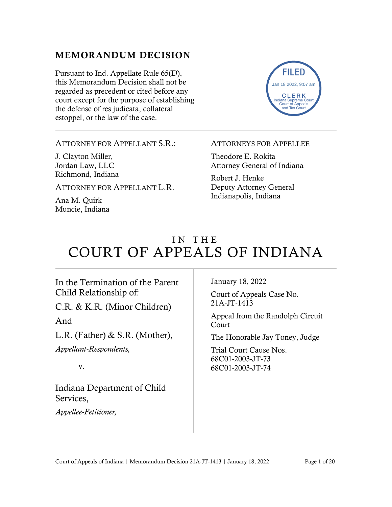#### MEMORANDUM DECISION

Pursuant to Ind. Appellate Rule 65(D), this Memorandum Decision shall not be regarded as precedent or cited before any court except for the purpose of establishing the defense of res judicata, collateral estoppel, or the law of the case.



ATTORNEY FOR APPELLANT S.R.:

J. Clayton Miller, Jordan Law, LLC Richmond, Indiana

ATTORNEY FOR APPELLANT L.R.

Ana M. Quirk Muncie, Indiana

#### ATTORNEYS FOR APPELLEE

Theodore E. Rokita Attorney General of Indiana

Robert J. Henke Deputy Attorney General Indianapolis, Indiana

# IN THE COURT OF APPEALS OF INDIANA

In the Termination of the Parent Child Relationship of:

C.R. & K.R. (Minor Children)

And

L.R. (Father) & S.R. (Mother), *Appellant-Respondents,*

v.

Indiana Department of Child Services,

*Appellee-Petitioner,*

January 18, 2022

Court of Appeals Case No. 21A-JT-1413

Appeal from the Randolph Circuit Court

The Honorable Jay Toney, Judge

Trial Court Cause Nos. 68C01-2003-JT-73 68C01-2003-JT-74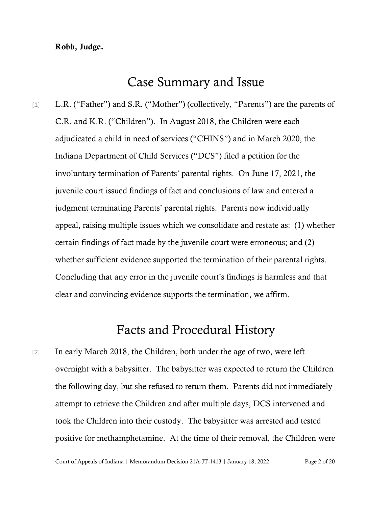#### Robb, Judge.

### Case Summary and Issue

[1] L.R. ("Father") and S.R. ("Mother") (collectively, "Parents") are the parents of C.R. and K.R. ("Children"). In August 2018, the Children were each adjudicated a child in need of services ("CHINS") and in March 2020, the Indiana Department of Child Services ("DCS") filed a petition for the involuntary termination of Parents' parental rights. On June 17, 2021, the juvenile court issued findings of fact and conclusions of law and entered a judgment terminating Parents' parental rights. Parents now individually appeal, raising multiple issues which we consolidate and restate as: (1) whether certain findings of fact made by the juvenile court were erroneous; and (2) whether sufficient evidence supported the termination of their parental rights. Concluding that any error in the juvenile court's findings is harmless and that clear and convincing evidence supports the termination, we affirm.

## Facts and Procedural History

[2] In early March 2018, the Children, both under the age of two, were left overnight with a babysitter. The babysitter was expected to return the Children the following day, but she refused to return them. Parents did not immediately attempt to retrieve the Children and after multiple days, DCS intervened and took the Children into their custody. The babysitter was arrested and tested positive for methamphetamine. At the time of their removal, the Children were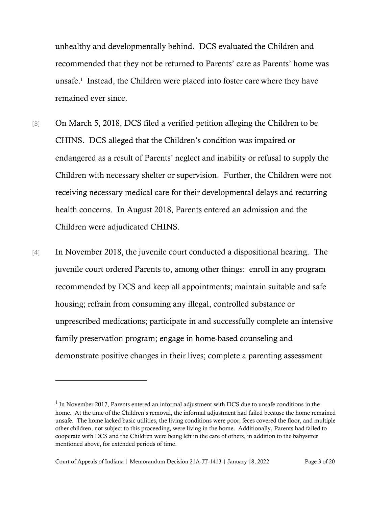unhealthy and developmentally behind. DCS evaluated the Children and recommended that they not be returned to Parents' care as Parents' home was unsafe. 1 Instead, the Children were placed into foster care where they have remained ever since.

- [3] On March 5, 2018, DCS filed a verified petition alleging the Children to be CHINS. DCS alleged that the Children's condition was impaired or endangered as a result of Parents' neglect and inability or refusal to supply the Children with necessary shelter or supervision. Further, the Children were not receiving necessary medical care for their developmental delays and recurring health concerns. In August 2018, Parents entered an admission and the Children were adjudicated CHINS.
- [4] In November 2018, the juvenile court conducted a dispositional hearing. The juvenile court ordered Parents to, among other things: enroll in any program recommended by DCS and keep all appointments; maintain suitable and safe housing; refrain from consuming any illegal, controlled substance or unprescribed medications; participate in and successfully complete an intensive family preservation program; engage in home-based counseling and demonstrate positive changes in their lives; complete a parenting assessment

 $<sup>1</sup>$  In November 2017, Parents entered an informal adjustment with DCS due to unsafe conditions in the</sup> home. At the time of the Children's removal, the informal adjustment had failed because the home remained unsafe. The home lacked basic utilities, the living conditions were poor, feces covered the floor, and multiple other children, not subject to this proceeding, were living in the home. Additionally, Parents had failed to cooperate with DCS and the Children were being left in the care of others, in addition to the babysitter mentioned above, for extended periods of time.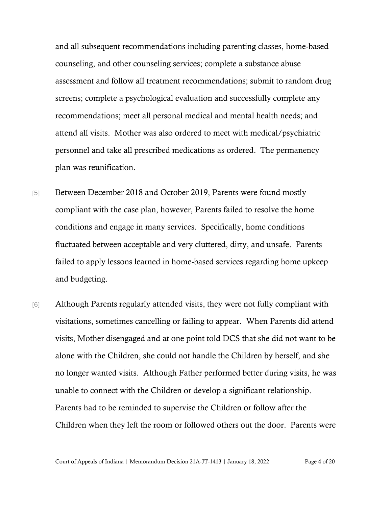and all subsequent recommendations including parenting classes, home-based counseling, and other counseling services; complete a substance abuse assessment and follow all treatment recommendations; submit to random drug screens; complete a psychological evaluation and successfully complete any recommendations; meet all personal medical and mental health needs; and attend all visits. Mother was also ordered to meet with medical/psychiatric personnel and take all prescribed medications as ordered. The permanency plan was reunification.

- [5] Between December 2018 and October 2019, Parents were found mostly compliant with the case plan, however, Parents failed to resolve the home conditions and engage in many services. Specifically, home conditions fluctuated between acceptable and very cluttered, dirty, and unsafe. Parents failed to apply lessons learned in home-based services regarding home upkeep and budgeting.
- [6] Although Parents regularly attended visits, they were not fully compliant with visitations, sometimes cancelling or failing to appear. When Parents did attend visits, Mother disengaged and at one point told DCS that she did not want to be alone with the Children, she could not handle the Children by herself, and she no longer wanted visits. Although Father performed better during visits, he was unable to connect with the Children or develop a significant relationship. Parents had to be reminded to supervise the Children or follow after the Children when they left the room or followed others out the door. Parents were

Court of Appeals of Indiana | Memorandum Decision 21A-JT-1413 | January 18, 2022 Page 4 of 20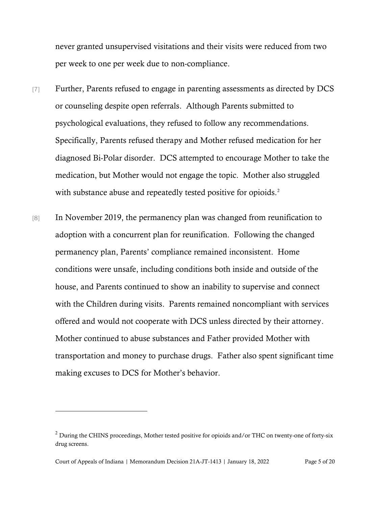never granted unsupervised visitations and their visits were reduced from two per week to one per week due to non-compliance.

- [7] Further, Parents refused to engage in parenting assessments as directed by DCS or counseling despite open referrals. Although Parents submitted to psychological evaluations, they refused to follow any recommendations. Specifically, Parents refused therapy and Mother refused medication for her diagnosed Bi-Polar disorder. DCS attempted to encourage Mother to take the medication, but Mother would not engage the topic. Mother also struggled with substance abuse and repeatedly tested positive for opioids.<sup>2</sup>
- [8] In November 2019, the permanency plan was changed from reunification to adoption with a concurrent plan for reunification. Following the changed permanency plan, Parents' compliance remained inconsistent. Home conditions were unsafe, including conditions both inside and outside of the house, and Parents continued to show an inability to supervise and connect with the Children during visits. Parents remained noncompliant with services offered and would not cooperate with DCS unless directed by their attorney. Mother continued to abuse substances and Father provided Mother with transportation and money to purchase drugs. Father also spent significant time making excuses to DCS for Mother's behavior.

<sup>&</sup>lt;sup>2</sup> During the CHINS proceedings, Mother tested positive for opioids and/or THC on twenty-one of forty-six drug screens.

Court of Appeals of Indiana | Memorandum Decision 21A-JT-1413 | January 18, 2022 Page 5 of 20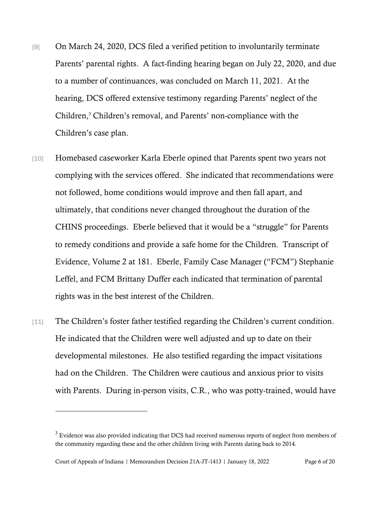- [9] On March 24, 2020, DCS filed a verified petition to involuntarily terminate Parents' parental rights. A fact-finding hearing began on July 22, 2020, and due to a number of continuances, was concluded on March 11, 2021. At the hearing, DCS offered extensive testimony regarding Parents' neglect of the Children, <sup>3</sup> Children's removal, and Parents' non-compliance with the Children's case plan.
- [10] Homebased caseworker Karla Eberle opined that Parents spent two years not complying with the services offered. She indicated that recommendations were not followed, home conditions would improve and then fall apart, and ultimately, that conditions never changed throughout the duration of the CHINS proceedings. Eberle believed that it would be a "struggle" for Parents to remedy conditions and provide a safe home for the Children. Transcript of Evidence, Volume 2 at 181. Eberle, Family Case Manager ("FCM") Stephanie Leffel, and FCM Brittany Duffer each indicated that termination of parental rights was in the best interest of the Children.
- [11] The Children's foster father testified regarding the Children's current condition. He indicated that the Children were well adjusted and up to date on their developmental milestones. He also testified regarding the impact visitations had on the Children. The Children were cautious and anxious prior to visits with Parents. During in-person visits, C.R., who was potty-trained, would have

 $3$  Evidence was also provided indicating that DCS had received numerous reports of neglect from members of the community regarding these and the other children living with Parents dating back to 2014.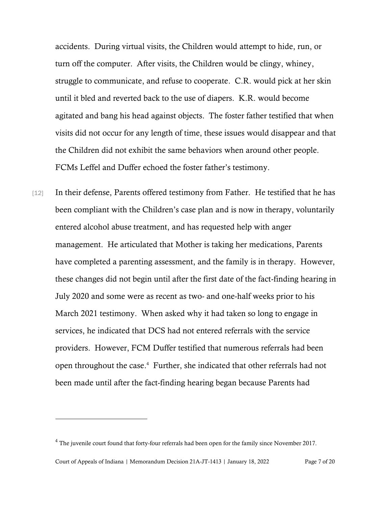accidents. During virtual visits, the Children would attempt to hide, run, or turn off the computer. After visits, the Children would be clingy, whiney, struggle to communicate, and refuse to cooperate. C.R. would pick at her skin until it bled and reverted back to the use of diapers. K.R. would become agitated and bang his head against objects. The foster father testified that when visits did not occur for any length of time, these issues would disappear and that the Children did not exhibit the same behaviors when around other people. FCMs Leffel and Duffer echoed the foster father's testimony.

[12] In their defense, Parents offered testimony from Father. He testified that he has been compliant with the Children's case plan and is now in therapy, voluntarily entered alcohol abuse treatment, and has requested help with anger management. He articulated that Mother is taking her medications, Parents have completed a parenting assessment, and the family is in therapy. However, these changes did not begin until after the first date of the fact-finding hearing in July 2020 and some were as recent as two- and one-half weeks prior to his March 2021 testimony. When asked why it had taken so long to engage in services, he indicated that DCS had not entered referrals with the service providers. However, FCM Duffer testified that numerous referrals had been open throughout the case. <sup>4</sup> Further, she indicated that other referrals had not been made until after the fact-finding hearing began because Parents had

<sup>&</sup>lt;sup>4</sup> The juvenile court found that forty-four referrals had been open for the family since November 2017.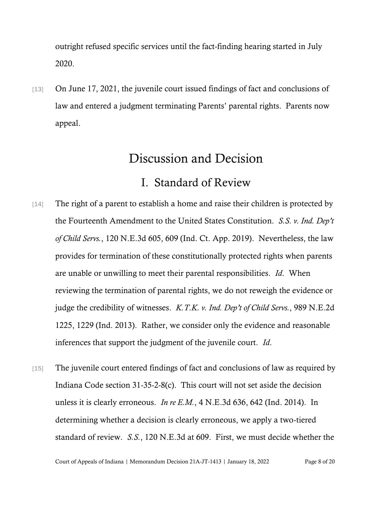outright refused specific services until the fact-finding hearing started in July 2020.

[13] On June 17, 2021, the juvenile court issued findings of fact and conclusions of law and entered a judgment terminating Parents' parental rights. Parents now appeal.

# Discussion and Decision

## I. Standard of Review

- [14] The right of a parent to establish a home and raise their children is protected by the Fourteenth Amendment to the United States Constitution. *S.S. v. Ind. Dep't of Child Servs.*, 120 N.E.3d 605, 609 (Ind. Ct. App. 2019). Nevertheless, the law provides for termination of these constitutionally protected rights when parents are unable or unwilling to meet their parental responsibilities. *Id*. When reviewing the termination of parental rights, we do not reweigh the evidence or judge the credibility of witnesses. *K.T.K. v. Ind. Dep't of Child Servs.*, 989 N.E.2d 1225, 1229 (Ind. 2013). Rather, we consider only the evidence and reasonable inferences that support the judgment of the juvenile court. *Id*.
- [15] The juvenile court entered findings of fact and conclusions of law as required by Indiana Code section 31-35-2-8(c). This court will not set aside the decision unless it is clearly erroneous. *In re E.M.*, 4 N.E.3d 636, 642 (Ind. 2014). In determining whether a decision is clearly erroneous, we apply a two-tiered standard of review. *S.S.*, 120 N.E.3d at 609. First, we must decide whether the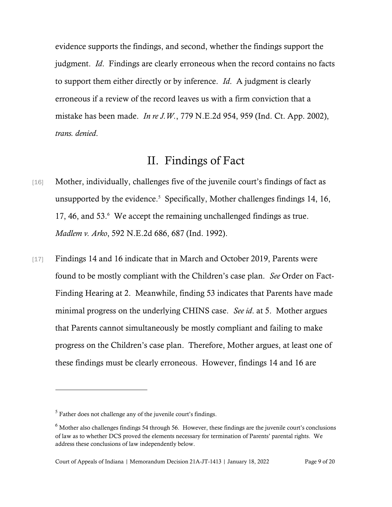evidence supports the findings, and second, whether the findings support the judgment. *Id*. Findings are clearly erroneous when the record contains no facts to support them either directly or by inference. *Id*. A judgment is clearly erroneous if a review of the record leaves us with a firm conviction that a mistake has been made. *In re J.W.*, 779 N.E.2d 954, 959 (Ind. Ct. App. 2002), *trans. denied*.

#### II. Findings of Fact

- [16] Mother, individually, challenges five of the juvenile court's findings of fact as unsupported by the evidence.<sup>5</sup> Specifically, Mother challenges findings 14, 16, 17, 46, and 53.<sup>6</sup> We accept the remaining unchallenged findings as true. *Madlem v. Arko*, 592 N.E.2d 686, 687 (Ind. 1992).
- [17] Findings 14 and 16 indicate that in March and October 2019, Parents were found to be mostly compliant with the Children's case plan. *See* Order on Fact-Finding Hearing at 2. Meanwhile, finding 53 indicates that Parents have made minimal progress on the underlying CHINS case. *See id*. at 5. Mother argues that Parents cannot simultaneously be mostly compliant and failing to make progress on the Children's case plan. Therefore, Mother argues, at least one of these findings must be clearly erroneous. However, findings 14 and 16 are

 $<sup>5</sup>$  Father does not challenge any of the juvenile court's findings.</sup>

<sup>&</sup>lt;sup>6</sup> Mother also challenges findings 54 through 56. However, these findings are the juvenile court's conclusions of law as to whether DCS proved the elements necessary for termination of Parents' parental rights. We address these conclusions of law independently below.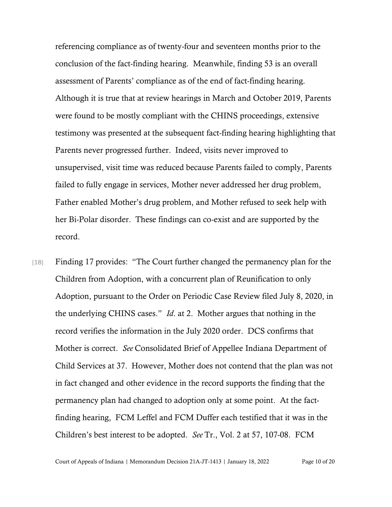referencing compliance as of twenty-four and seventeen months prior to the conclusion of the fact-finding hearing. Meanwhile, finding 53 is an overall assessment of Parents' compliance as of the end of fact-finding hearing. Although it is true that at review hearings in March and October 2019, Parents were found to be mostly compliant with the CHINS proceedings, extensive testimony was presented at the subsequent fact-finding hearing highlighting that Parents never progressed further. Indeed, visits never improved to unsupervised, visit time was reduced because Parents failed to comply, Parents failed to fully engage in services, Mother never addressed her drug problem, Father enabled Mother's drug problem, and Mother refused to seek help with her Bi-Polar disorder. These findings can co-exist and are supported by the record.

[18] Finding 17 provides: "The Court further changed the permanency plan for the Children from Adoption, with a concurrent plan of Reunification to only Adoption, pursuant to the Order on Periodic Case Review filed July 8, 2020, in the underlying CHINS cases." *Id*. at 2. Mother argues that nothing in the record verifies the information in the July 2020 order. DCS confirms that Mother is correct. *See* Consolidated Brief of Appellee Indiana Department of Child Services at 37. However, Mother does not contend that the plan was not in fact changed and other evidence in the record supports the finding that the permanency plan had changed to adoption only at some point. At the factfinding hearing, FCM Leffel and FCM Duffer each testified that it was in the Children's best interest to be adopted. *See* Tr., Vol. 2 at 57, 107-08. FCM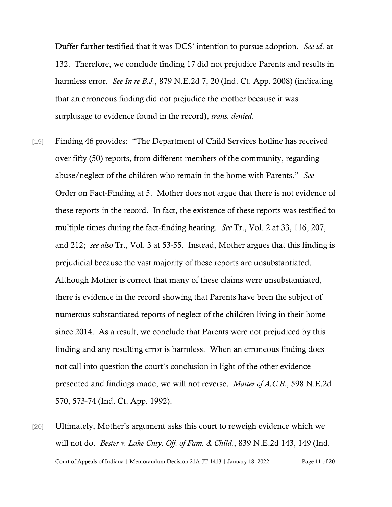Duffer further testified that it was DCS' intention to pursue adoption. *See id*. at 132. Therefore, we conclude finding 17 did not prejudice Parents and results in harmless error. *See In re B.J.*, 879 N.E.2d 7, 20 (Ind. Ct. App. 2008) (indicating that an erroneous finding did not prejudice the mother because it was surplusage to evidence found in the record), *trans. denied*.

- [19] Finding 46 provides: "The Department of Child Services hotline has received over fifty (50) reports, from different members of the community, regarding abuse/neglect of the children who remain in the home with Parents." *See*  Order on Fact-Finding at 5. Mother does not argue that there is not evidence of these reports in the record. In fact, the existence of these reports was testified to multiple times during the fact-finding hearing. *See* Tr., Vol. 2 at 33, 116, 207, and 212; *see also* Tr., Vol. 3 at 53-55. Instead, Mother argues that this finding is prejudicial because the vast majority of these reports are unsubstantiated. Although Mother is correct that many of these claims were unsubstantiated, there is evidence in the record showing that Parents have been the subject of numerous substantiated reports of neglect of the children living in their home since 2014. As a result, we conclude that Parents were not prejudiced by this finding and any resulting error is harmless. When an erroneous finding does not call into question the court's conclusion in light of the other evidence presented and findings made, we will not reverse. *Matter of A.C.B.*, 598 N.E.2d 570, 573-74 (Ind. Ct. App. 1992).
- Court of Appeals of Indiana | Memorandum Decision 21A-JT-1413 | January 18, 2022 Page 11 of 20 [20] Ultimately, Mother's argument asks this court to reweigh evidence which we will not do. *Bester v. Lake Cnty. Off. of Fam. & Child.*, 839 N.E.2d 143, 149 (Ind.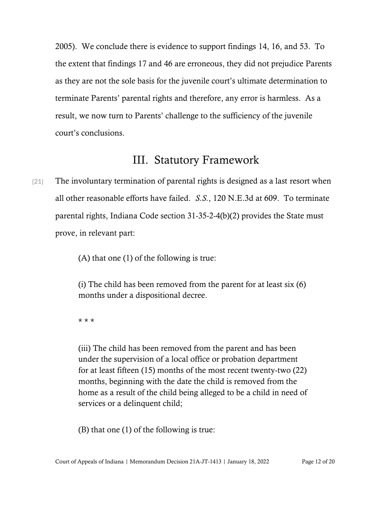2005). We conclude there is evidence to support findings 14, 16, and 53. To the extent that findings 17 and 46 are erroneous, they did not prejudice Parents as they are not the sole basis for the juvenile court's ultimate determination to terminate Parents' parental rights and therefore, any error is harmless. As a result, we now turn to Parents' challenge to the sufficiency of the juvenile court's conclusions.

### III. Statutory Framework

[21] The involuntary termination of parental rights is designed as a last resort when all other reasonable efforts have failed. *S.S.*, 120 N.E.3d at 609. To terminate parental rights, Indiana Code section 31-35-2-4(b)(2) provides the State must prove, in relevant part:

(A) that one (1) of the following is true:

(i) The child has been removed from the parent for at least six (6) months under a dispositional decree.

\* \* \*

(iii) The child has been removed from the parent and has been under the supervision of a local office or probation department for at least fifteen (15) months of the most recent twenty-two (22) months, beginning with the date the child is removed from the home as a result of the child being alleged to be a child in need of services or a delinquent child;

(B) that one (1) of the following is true: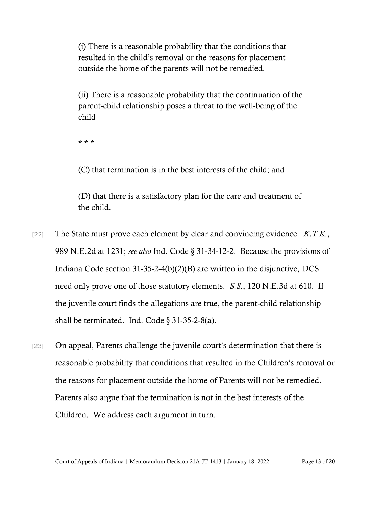(i) There is a reasonable probability that the conditions that resulted in the child's removal or the reasons for placement outside the home of the parents will not be remedied.

(ii) There is a reasonable probability that the continuation of the parent-child relationship poses a threat to the well-being of the child

\* \* \*

(C) that termination is in the best interests of the child; and

(D) that there is a satisfactory plan for the care and treatment of the child.

- [22] The State must prove each element by clear and convincing evidence. *K.T.K.*, 989 N.E.2d at 1231; *see also* Ind. Code § 31-34-12-2. Because the provisions of Indiana Code section 31-35-2-4(b)(2)(B) are written in the disjunctive, DCS need only prove one of those statutory elements. *S.S.*, 120 N.E.3d at 610. If the juvenile court finds the allegations are true, the parent-child relationship shall be terminated. Ind. Code  $\S$  31-35-2-8(a).
- [23] On appeal, Parents challenge the juvenile court's determination that there is reasonable probability that conditions that resulted in the Children's removal or the reasons for placement outside the home of Parents will not be remedied. Parents also argue that the termination is not in the best interests of the Children. We address each argument in turn.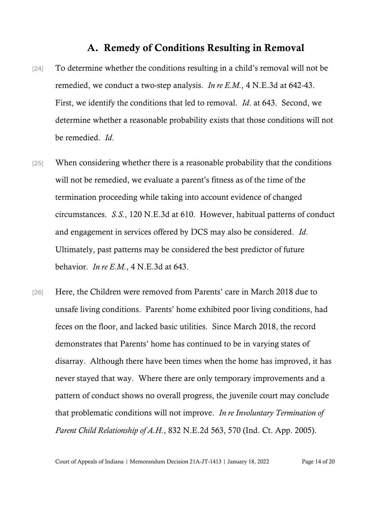#### A. Remedy of Conditions Resulting in Removal

- [24] To determine whether the conditions resulting in a child's removal will not be remedied, we conduct a two-step analysis. *In re E.M.*, 4 N.E.3d at 642-43. First, we identify the conditions that led to removal. *Id*. at 643. Second, we determine whether a reasonable probability exists that those conditions will not be remedied. *Id*.
- [25] When considering whether there is a reasonable probability that the conditions will not be remedied, we evaluate a parent's fitness as of the time of the termination proceeding while taking into account evidence of changed circumstances. *S.S.*, 120 N.E.3d at 610. However, habitual patterns of conduct and engagement in services offered by DCS may also be considered. *Id*. Ultimately, past patterns may be considered the best predictor of future behavior. *In re E.M.*, 4 N.E.3d at 643.
- [26] Here, the Children were removed from Parents' care in March 2018 due to unsafe living conditions. Parents' home exhibited poor living conditions, had feces on the floor, and lacked basic utilities. Since March 2018, the record demonstrates that Parents' home has continued to be in varying states of disarray. Although there have been times when the home has improved, it has never stayed that way. Where there are only temporary improvements and a pattern of conduct shows no overall progress, the juvenile court may conclude that problematic conditions will not improve. *In re Involuntary Termination of Parent Child Relationship of A.H.*, 832 N.E.2d 563, 570 (Ind. Ct. App. 2005).

Court of Appeals of Indiana | Memorandum Decision 21A-JT-1413 | January 18, 2022 Page 14 of 20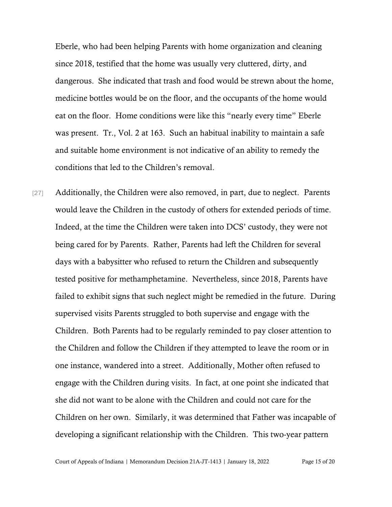Eberle, who had been helping Parents with home organization and cleaning since 2018, testified that the home was usually very cluttered, dirty, and dangerous. She indicated that trash and food would be strewn about the home, medicine bottles would be on the floor, and the occupants of the home would eat on the floor. Home conditions were like this "nearly every time" Eberle was present. Tr., Vol. 2 at 163. Such an habitual inability to maintain a safe and suitable home environment is not indicative of an ability to remedy the conditions that led to the Children's removal.

[27] Additionally, the Children were also removed, in part, due to neglect. Parents would leave the Children in the custody of others for extended periods of time. Indeed, at the time the Children were taken into DCS' custody, they were not being cared for by Parents. Rather, Parents had left the Children for several days with a babysitter who refused to return the Children and subsequently tested positive for methamphetamine. Nevertheless, since 2018, Parents have failed to exhibit signs that such neglect might be remedied in the future. During supervised visits Parents struggled to both supervise and engage with the Children. Both Parents had to be regularly reminded to pay closer attention to the Children and follow the Children if they attempted to leave the room or in one instance, wandered into a street. Additionally, Mother often refused to engage with the Children during visits. In fact, at one point she indicated that she did not want to be alone with the Children and could not care for the Children on her own. Similarly, it was determined that Father was incapable of developing a significant relationship with the Children. This two-year pattern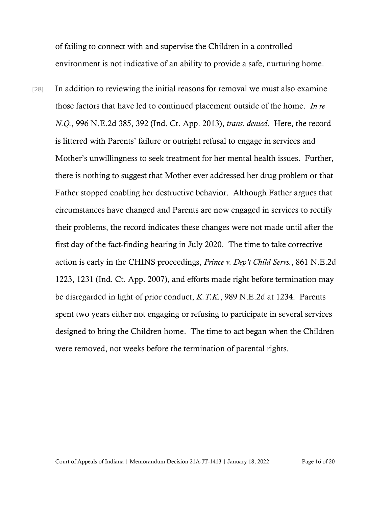of failing to connect with and supervise the Children in a controlled environment is not indicative of an ability to provide a safe, nurturing home.

[28] In addition to reviewing the initial reasons for removal we must also examine those factors that have led to continued placement outside of the home. *In re N.Q.*, 996 N.E.2d 385, 392 (Ind. Ct. App. 2013), *trans. denied*. Here, the record is littered with Parents' failure or outright refusal to engage in services and Mother's unwillingness to seek treatment for her mental health issues. Further, there is nothing to suggest that Mother ever addressed her drug problem or that Father stopped enabling her destructive behavior. Although Father argues that circumstances have changed and Parents are now engaged in services to rectify their problems, the record indicates these changes were not made until after the first day of the fact-finding hearing in July 2020. The time to take corrective action is early in the CHINS proceedings, *Prince v. Dep't Child Servs.*, 861 N.E.2d 1223, 1231 (Ind. Ct. App. 2007), and efforts made right before termination may be disregarded in light of prior conduct, *K.T.K.*, 989 N.E.2d at 1234. Parents spent two years either not engaging or refusing to participate in several services designed to bring the Children home. The time to act began when the Children were removed, not weeks before the termination of parental rights.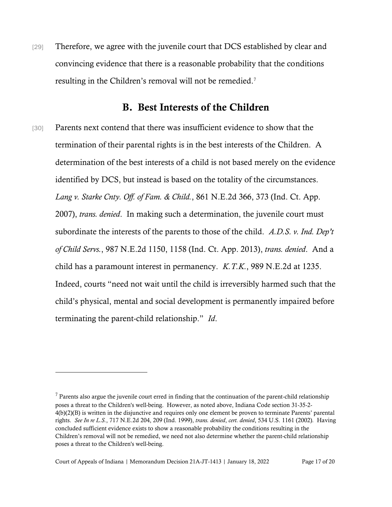[29] Therefore, we agree with the juvenile court that DCS established by clear and convincing evidence that there is a reasonable probability that the conditions resulting in the Children's removal will not be remedied.<sup>7</sup>

#### B. Best Interests of the Children

[30] Parents next contend that there was insufficient evidence to show that the termination of their parental rights is in the best interests of the Children. A determination of the best interests of a child is not based merely on the evidence identified by DCS, but instead is based on the totality of the circumstances. *Lang v. Starke Cnty. Off. of Fam. & Child.*, 861 N.E.2d 366, 373 (Ind. Ct. App. 2007), *trans. denied*. In making such a determination, the juvenile court must subordinate the interests of the parents to those of the child. *A.D.S. v. Ind. Dep't of Child Servs.*, 987 N.E.2d 1150, 1158 (Ind. Ct. App. 2013), *trans. denied*. And a child has a paramount interest in permanency. *K.T.K.*, 989 N.E.2d at 1235. Indeed, courts "need not wait until the child is irreversibly harmed such that the child's physical, mental and social development is permanently impaired before terminating the parent-child relationship." *Id*.

 $<sup>7</sup>$  Parents also argue the juvenile court erred in finding that the continuation of the parent-child relationship</sup> poses a threat to the Children's well-being. However, as noted above, Indiana Code section 31-35-2- 4(b)(2)(B) is written in the disjunctive and requires only one element be proven to terminate Parents' parental rights. *See In re L.S.*, 717 N.E.2d 204, 209 (Ind. 1999), *trans. denied*, *cert. denied*, 534 U.S. 1161 (2002)*.* Having concluded sufficient evidence exists to show a reasonable probability the conditions resulting in the Children's removal will not be remedied, we need not also determine whether the parent-child relationship poses a threat to the Children's well-being.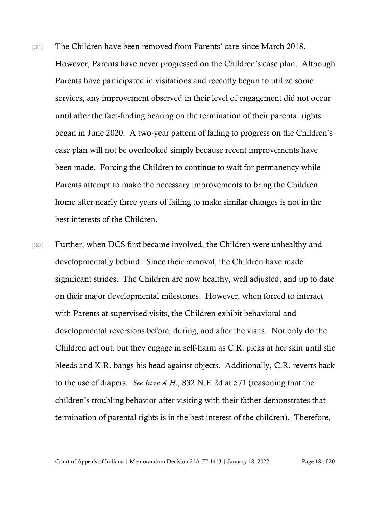- [31] The Children have been removed from Parents' care since March 2018. However, Parents have never progressed on the Children's case plan. Although Parents have participated in visitations and recently begun to utilize some services, any improvement observed in their level of engagement did not occur until after the fact-finding hearing on the termination of their parental rights began in June 2020. A two-year pattern of failing to progress on the Children's case plan will not be overlooked simply because recent improvements have been made. Forcing the Children to continue to wait for permanency while Parents attempt to make the necessary improvements to bring the Children home after nearly three years of failing to make similar changes is not in the best interests of the Children.
- [32] Further, when DCS first became involved, the Children were unhealthy and developmentally behind. Since their removal, the Children have made significant strides. The Children are now healthy, well adjusted, and up to date on their major developmental milestones. However, when forced to interact with Parents at supervised visits, the Children exhibit behavioral and developmental reversions before, during, and after the visits. Not only do the Children act out, but they engage in self-harm as C.R. picks at her skin until she bleeds and K.R. bangs his head against objects. Additionally, C.R. reverts back to the use of diapers. *See In re A.H.*, 832 N.E.2d at 571 (reasoning that the children's troubling behavior after visiting with their father demonstrates that termination of parental rights is in the best interest of the children). Therefore,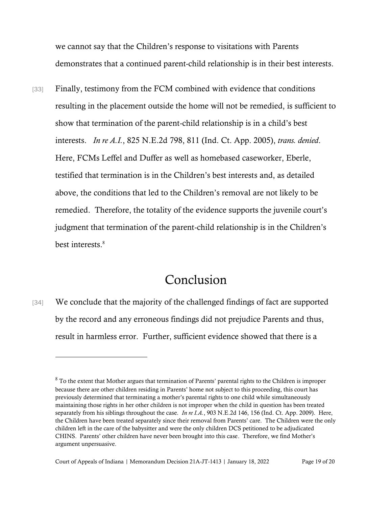we cannot say that the Children's response to visitations with Parents demonstrates that a continued parent-child relationship is in their best interests.

[33] Finally, testimony from the FCM combined with evidence that conditions resulting in the placement outside the home will not be remedied, is sufficient to show that termination of the parent-child relationship is in a child's best interests. *In re A.I.*, 825 N.E.2d 798, 811 (Ind. Ct. App. 2005), *trans. denied*. Here, FCMs Leffel and Duffer as well as homebased caseworker, Eberle, testified that termination is in the Children's best interests and, as detailed above, the conditions that led to the Children's removal are not likely to be remedied. Therefore, the totality of the evidence supports the juvenile court's judgment that termination of the parent-child relationship is in the Children's best interests. 8

## Conclusion

[34] We conclude that the majority of the challenged findings of fact are supported by the record and any erroneous findings did not prejudice Parents and thus, result in harmless error. Further, sufficient evidence showed that there is a

<sup>&</sup>lt;sup>8</sup> To the extent that Mother argues that termination of Parents' parental rights to the Children is improper because there are other children residing in Parents' home not subject to this proceeding, this court has previously determined that terminating a mother's parental rights to one child while simultaneously maintaining those rights in her other children is not improper when the child in question has been treated separately from his siblings throughout the case. *In re I.A.*, 903 N.E.2d 146, 156 (Ind. Ct. App. 2009). Here, the Children have been treated separately since their removal from Parents' care. The Children were the only children left in the care of the babysitter and were the only children DCS petitioned to be adjudicated CHINS. Parents' other children have never been brought into this case. Therefore, we find Mother's argument unpersuasive.